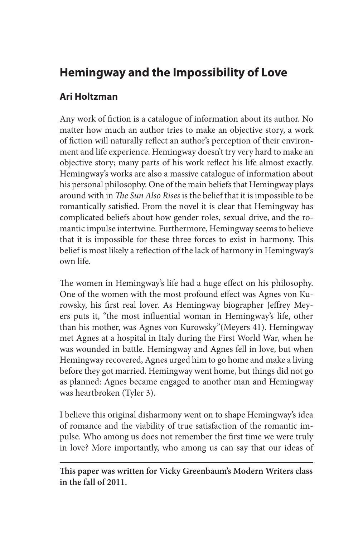# **Hemingway and the Impossibility of Love**

## **Ari Holtzman**

Any work of fiction is a catalogue of information about its author. No matter how much an author tries to make an objective story, a work of fiction will naturally reflect an author's perception of their environment and life experience. Hemingway doesn't try very hard to make an objective story; many parts of his work reflect his life almost exactly. Hemingway's works are also a massive catalogue of information about his personal philosophy. One of the main beliefs that Hemingway plays around with in *The Sun Also Rises* is the belief that it is impossible to be romantically satisfied. From the novel it is clear that Hemingway has complicated beliefs about how gender roles, sexual drive, and the romantic impulse intertwine. Furthermore, Hemingway seems to believe that it is impossible for these three forces to exist in harmony. This belief is most likely a reflection of the lack of harmony in Hemingway's own life.

The women in Hemingway's life had a huge effect on his philosophy. One of the women with the most profound effect was Agnes von Kurowsky, his first real lover. As Hemingway biographer Jeffrey Meyers puts it, "the most influential woman in Hemingway's life, other than his mother, was Agnes von Kurowsky"(Meyers 41). Hemingway met Agnes at a hospital in Italy during the First World War, when he was wounded in battle. Hemingway and Agnes fell in love, but when Hemingway recovered, Agnes urged him to go home and make a living before they got married. Hemingway went home, but things did not go as planned: Agnes became engaged to another man and Hemingway was heartbroken (Tyler 3).

I believe this original disharmony went on to shape Hemingway's idea of romance and the viability of true satisfaction of the romantic impulse. Who among us does not remember the first time we were truly in love? More importantly, who among us can say that our ideas of

**This paper was written for Vicky Greenbaum's Modern Writers class in the fall of 2011.**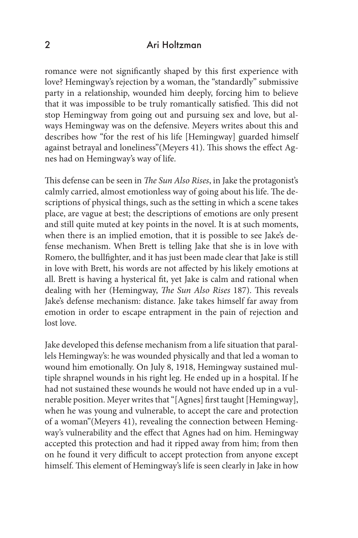#### 2 Ari Holtzman

romance were not significantly shaped by this first experience with love? Hemingway's rejection by a woman, the "standardly" submissive party in a relationship, wounded him deeply, forcing him to believe that it was impossible to be truly romantically satisfied. This did not stop Hemingway from going out and pursuing sex and love, but always Hemingway was on the defensive. Meyers writes about this and describes how "for the rest of his life [Hemingway] guarded himself against betrayal and loneliness"(Meyers 41). This shows the effect Agnes had on Hemingway's way of life.

This defense can be seen in *The Sun Also Rises*, in Jake the protagonist's calmly carried, almost emotionless way of going about his life. The descriptions of physical things, such as the setting in which a scene takes place, are vague at best; the descriptions of emotions are only present and still quite muted at key points in the novel. It is at such moments, when there is an implied emotion, that it is possible to see Jake's defense mechanism. When Brett is telling Jake that she is in love with Romero, the bullfighter, and it has just been made clear that Jake is still in love with Brett, his words are not affected by his likely emotions at all. Brett is having a hysterical fit, yet Jake is calm and rational when dealing with her (Hemingway, *The Sun Also Rises* 187). This reveals Jake's defense mechanism: distance. Jake takes himself far away from emotion in order to escape entrapment in the pain of rejection and lost love.

Jake developed this defense mechanism from a life situation that parallels Hemingway's: he was wounded physically and that led a woman to wound him emotionally. On July 8, 1918, Hemingway sustained multiple shrapnel wounds in his right leg. He ended up in a hospital. If he had not sustained these wounds he would not have ended up in a vulnerable position. Meyer writes that "[Agnes] first taught [Hemingway], when he was young and vulnerable, to accept the care and protection of a woman"(Meyers 41), revealing the connection between Hemingway's vulnerability and the effect that Agnes had on him. Hemingway accepted this protection and had it ripped away from him; from then on he found it very difficult to accept protection from anyone except himself. This element of Hemingway's life is seen clearly in Jake in how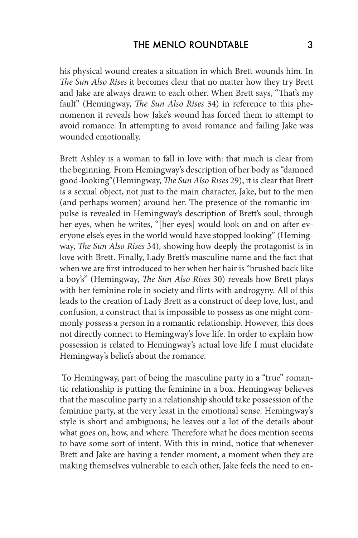his physical wound creates a situation in which Brett wounds him. In *The Sun Also Rises* it becomes clear that no matter how they try Brett and Jake are always drawn to each other. When Brett says, "That's my fault" (Hemingway, *The Sun Also Rises* 34) in reference to this phenomenon it reveals how Jake's wound has forced them to attempt to avoid romance. In attempting to avoid romance and failing Jake was wounded emotionally.

Brett Ashley is a woman to fall in love with: that much is clear from the beginning. From Hemingway's description of her body as "damned good-looking"(Hemingway, *The Sun Also Rises* 29), it is clear that Brett is a sexual object, not just to the main character, Jake, but to the men (and perhaps women) around her. The presence of the romantic impulse is revealed in Hemingway's description of Brett's soul, through her eyes, when he writes, "[her eyes] would look on and on after everyone else's eyes in the world would have stopped looking" (Hemingway, *The Sun Also Rises* 34), showing how deeply the protagonist is in love with Brett. Finally, Lady Brett's masculine name and the fact that when we are first introduced to her when her hair is "brushed back like a boy's" (Hemingway, *The Sun Also Rises* 30) reveals how Brett plays with her feminine role in society and flirts with androgyny. All of this leads to the creation of Lady Brett as a construct of deep love, lust, and confusion, a construct that is impossible to possess as one might commonly possess a person in a romantic relationship. However, this does not directly connect to Hemingway's love life. In order to explain how possession is related to Hemingway's actual love life I must elucidate Hemingway's beliefs about the romance.

 To Hemingway, part of being the masculine party in a "true" romantic relationship is putting the feminine in a box. Hemingway believes that the masculine party in a relationship should take possession of the feminine party, at the very least in the emotional sense. Hemingway's style is short and ambiguous; he leaves out a lot of the details about what goes on, how, and where. Therefore what he does mention seems to have some sort of intent. With this in mind, notice that whenever Brett and Jake are having a tender moment, a moment when they are making themselves vulnerable to each other, Jake feels the need to en-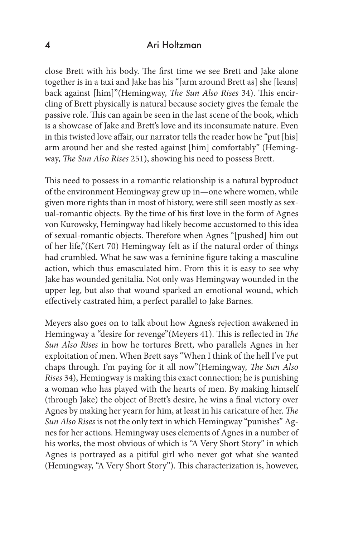#### 4 Ari Holtzman

close Brett with his body. The first time we see Brett and Jake alone together is in a taxi and Jake has his "[arm around Brett as] she [leans] back against [him]"(Hemingway, *The Sun Also Rises* 34). This encircling of Brett physically is natural because society gives the female the passive role. This can again be seen in the last scene of the book, which is a showcase of Jake and Brett's love and its inconsumate nature. Even in this twisted love affair, our narrator tells the reader how he "put [his] arm around her and she rested against [him] comfortably" (Hemingway, *The Sun Also Rises* 251), showing his need to possess Brett.

This need to possess in a romantic relationship is a natural byproduct of the environment Hemingway grew up in—one where women, while given more rights than in most of history, were still seen mostly as sexual-romantic objects. By the time of his first love in the form of Agnes von Kurowsky, Hemingway had likely become accustomed to this idea of sexual-romantic objects. Therefore when Agnes "[pushed] him out of her life,"(Kert 70) Hemingway felt as if the natural order of things had crumbled. What he saw was a feminine figure taking a masculine action, which thus emasculated him. From this it is easy to see why Jake has wounded genitalia. Not only was Hemingway wounded in the upper leg, but also that wound sparked an emotional wound, which effectively castrated him, a perfect parallel to Jake Barnes.

Meyers also goes on to talk about how Agnes's rejection awakened in Hemingway a "desire for revenge"(Meyers 41). This is reflected in *The Sun Also Rises* in how he tortures Brett, who parallels Agnes in her exploitation of men. When Brett says "When I think of the hell I've put chaps through. I'm paying for it all now"(Hemingway, *The Sun Also Rises* 34), Hemingway is making this exact connection; he is punishing a woman who has played with the hearts of men. By making himself (through Jake) the object of Brett's desire, he wins a final victory over Agnes by making her yearn for him, at least in his caricature of her. *The Sun Also Rises* is not the only text in which Hemingway "punishes" Agnes for her actions. Hemingway uses elements of Agnes in a number of his works, the most obvious of which is "A Very Short Story" in which Agnes is portrayed as a pitiful girl who never got what she wanted (Hemingway, "A Very Short Story"). This characterization is, however,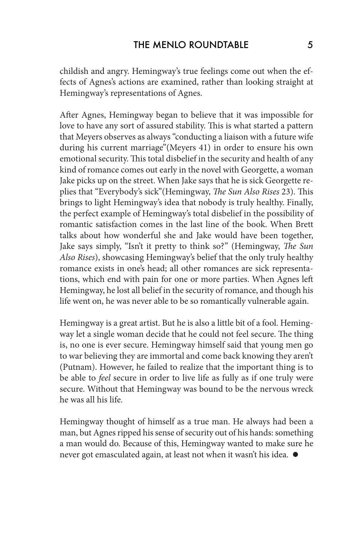childish and angry. Hemingway's true feelings come out when the effects of Agnes's actions are examined, rather than looking straight at Hemingway's representations of Agnes.

After Agnes, Hemingway began to believe that it was impossible for love to have any sort of assured stability. This is what started a pattern that Meyers observes as always "conducting a liaison with a future wife during his current marriage"(Meyers 41) in order to ensure his own emotional security. This total disbelief in the security and health of any kind of romance comes out early in the novel with Georgette, a woman Jake picks up on the street. When Jake says that he is sick Georgette replies that "Everybody's sick"(Hemingway, *The Sun Also Rises* 23). This brings to light Hemingway's idea that nobody is truly healthy. Finally, the perfect example of Hemingway's total disbelief in the possibility of romantic satisfaction comes in the last line of the book. When Brett talks about how wonderful she and Jake would have been together, Jake says simply, "Isn't it pretty to think so?" (Hemingway, *The Sun Also Rises*), showcasing Hemingway's belief that the only truly healthy romance exists in one's head; all other romances are sick representations, which end with pain for one or more parties. When Agnes left Hemingway, he lost all belief in the security of romance, and though his life went on, he was never able to be so romantically vulnerable again.

Hemingway is a great artist. But he is also a little bit of a fool. Hemingway let a single woman decide that he could not feel secure. The thing is, no one is ever secure. Hemingway himself said that young men go to war believing they are immortal and come back knowing they aren't (Putnam). However, he failed to realize that the important thing is to be able to *feel* secure in order to live life as fully as if one truly were secure. Without that Hemingway was bound to be the nervous wreck he was all his life.

Hemingway thought of himself as a true man. He always had been a man, but Agnes ripped his sense of security out of his hands: something a man would do. Because of this, Hemingway wanted to make sure he never got emasculated again, at least not when it wasn't his idea.